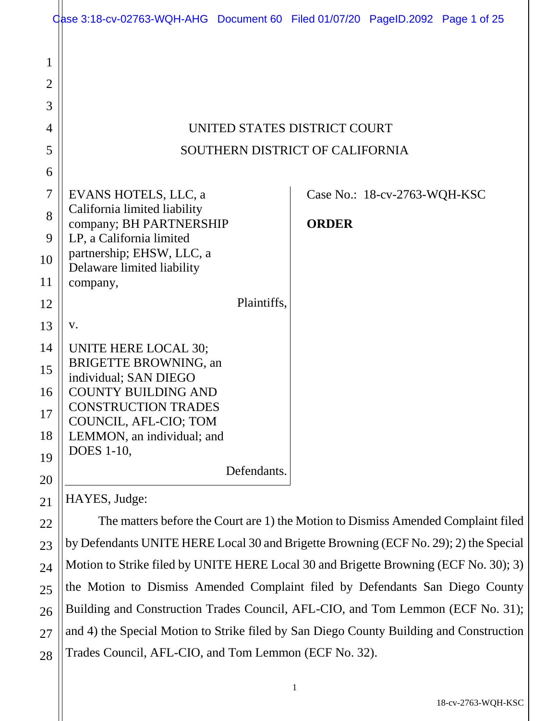|                          | Case 3:18-cv-02763-WQH-AHG Document 60 Filed 01/07/20 PageID.2092 Page 1 of 25       |              |                              |  |
|--------------------------|--------------------------------------------------------------------------------------|--------------|------------------------------|--|
| 1<br>$\overline{2}$<br>3 |                                                                                      |              |                              |  |
| 4                        | UNITED STATES DISTRICT COURT                                                         |              |                              |  |
| 5                        | SOUTHERN DISTRICT OF CALIFORNIA                                                      |              |                              |  |
| 6                        |                                                                                      |              |                              |  |
| 7                        | EVANS HOTELS, LLC, a                                                                 |              |                              |  |
| 8                        | California limited liability                                                         |              | Case No.: 18-cv-2763-WQH-KSC |  |
|                          | company; BH PARTNERSHIP                                                              | <b>ORDER</b> |                              |  |
| 9                        | LP, a California limited<br>partnership; EHSW, LLC, a                                |              |                              |  |
| 10                       | Delaware limited liability                                                           |              |                              |  |
| 11                       | company,                                                                             |              |                              |  |
| 12                       | Plaintiffs,                                                                          |              |                              |  |
| 13                       | V.                                                                                   |              |                              |  |
| 14                       | UNITE HERE LOCAL 30;                                                                 |              |                              |  |
| 15                       | <b>BRIGETTE BROWNING, an</b><br>individual; SAN DIEGO                                |              |                              |  |
| 16                       | <b>COUNTY BUILDING AND</b>                                                           |              |                              |  |
| 17                       | <b>CONSTRUCTION TRADES</b><br>COUNCIL, AFL-CIO; TOM                                  |              |                              |  |
| 18                       | LEMMON, an individual; and                                                           |              |                              |  |
| 19                       | <b>DOES</b> 1-10,                                                                    |              |                              |  |
| 20                       | Defendants.                                                                          |              |                              |  |
| 21                       | HAYES, Judge:                                                                        |              |                              |  |
| 22                       | The matters before the Court are 1) the Motion to Dismiss Amended Complaint filed    |              |                              |  |
| 23                       | by Defendants UNITE HERE Local 30 and Brigette Browning (ECF No. 29); 2) the Special |              |                              |  |
| 24                       | Motion to Strike filed by UNITE HERE Local 30 and Brigette Browning (ECF No. 30); 3) |              |                              |  |
| 25                       | the Motion to Dismiss Amended Complaint filed by Defendants San Diego County         |              |                              |  |
| 26                       | Building and Construction Trades Council, AFL-CIO, and Tom Lemmon (ECF No. 31);      |              |                              |  |

and 4) the Special Motion to Strike filed by San Diego County Building and Construction Trades Council, AFL-CIO, and Tom Lemmon (ECF No. 32).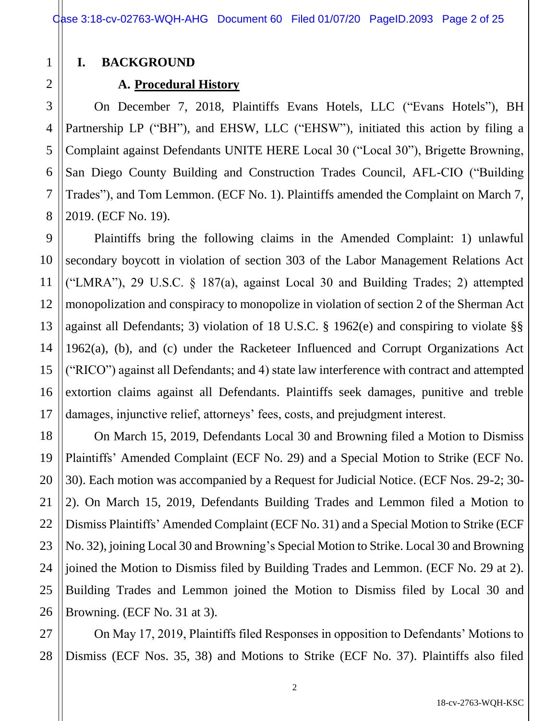## **I. BACKGROUND**

1

2

3

4

5

6

7

8

9

10

11

12

13

14

15

16

17

## **A. Procedural History**

On December 7, 2018, Plaintiffs Evans Hotels, LLC ("Evans Hotels"), BH Partnership LP ("BH"), and EHSW, LLC ("EHSW"), initiated this action by filing a Complaint against Defendants UNITE HERE Local 30 ("Local 30"), Brigette Browning, San Diego County Building and Construction Trades Council, AFL-CIO ("Building Trades"), and Tom Lemmon. (ECF No. 1). Plaintiffs amended the Complaint on March 7, 2019. (ECF No. 19).

Plaintiffs bring the following claims in the Amended Complaint: 1) unlawful secondary boycott in violation of section 303 of the Labor Management Relations Act ("LMRA"), 29 U.S.C. § 187(a), against Local 30 and Building Trades; 2) attempted monopolization and conspiracy to monopolize in violation of section 2 of the Sherman Act against all Defendants; 3) violation of 18 U.S.C. § 1962(e) and conspiring to violate §§ 1962(a), (b), and (c) under the Racketeer Influenced and Corrupt Organizations Act ("RICO") against all Defendants; and 4) state law interference with contract and attempted extortion claims against all Defendants. Plaintiffs seek damages, punitive and treble damages, injunctive relief, attorneys' fees, costs, and prejudgment interest.

18 19 20 21 22 23 24 25 26 On March 15, 2019, Defendants Local 30 and Browning filed a Motion to Dismiss Plaintiffs' Amended Complaint (ECF No. 29) and a Special Motion to Strike (ECF No. 30). Each motion was accompanied by a Request for Judicial Notice. (ECF Nos. 29-2; 30- 2). On March 15, 2019, Defendants Building Trades and Lemmon filed a Motion to Dismiss Plaintiffs' Amended Complaint (ECF No. 31) and a Special Motion to Strike (ECF No. 32), joining Local 30 and Browning's Special Motion to Strike. Local 30 and Browning joined the Motion to Dismiss filed by Building Trades and Lemmon. (ECF No. 29 at 2). Building Trades and Lemmon joined the Motion to Dismiss filed by Local 30 and Browning. (ECF No. 31 at 3).

27 28 On May 17, 2019, Plaintiffs filed Responses in opposition to Defendants' Motions to Dismiss (ECF Nos. 35, 38) and Motions to Strike (ECF No. 37). Plaintiffs also filed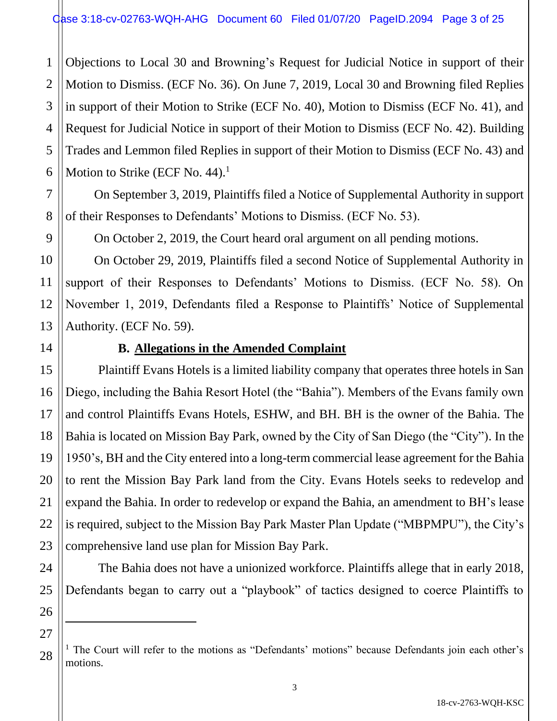1 2 Objections to Local 30 and Browning's Request for Judicial Notice in support of their Motion to Dismiss. (ECF No. 36). On June 7, 2019, Local 30 and Browning filed Replies in support of their Motion to Strike (ECF No. 40), Motion to Dismiss (ECF No. 41), and Request for Judicial Notice in support of their Motion to Dismiss (ECF No. 42). Building Trades and Lemmon filed Replies in support of their Motion to Dismiss (ECF No. 43) and Motion to Strike (ECF No. 44).<sup>1</sup>

On September 3, 2019, Plaintiffs filed a Notice of Supplemental Authority in support of their Responses to Defendants' Motions to Dismiss. (ECF No. 53).

On October 2, 2019, the Court heard oral argument on all pending motions.

On October 29, 2019, Plaintiffs filed a second Notice of Supplemental Authority in support of their Responses to Defendants' Motions to Dismiss. (ECF No. 58). On November 1, 2019, Defendants filed a Response to Plaintiffs' Notice of Supplemental Authority. (ECF No. 59).

# **B. Allegations in the Amended Complaint**

Plaintiff Evans Hotels is a limited liability company that operates three hotels in San Diego, including the Bahia Resort Hotel (the "Bahia"). Members of the Evans family own and control Plaintiffs Evans Hotels, ESHW, and BH. BH is the owner of the Bahia. The Bahia is located on Mission Bay Park, owned by the City of San Diego (the "City"). In the 1950's, BH and the City entered into a long-term commercial lease agreement for the Bahia to rent the Mission Bay Park land from the City. Evans Hotels seeks to redevelop and expand the Bahia. In order to redevelop or expand the Bahia, an amendment to BH's lease is required, subject to the Mission Bay Park Master Plan Update ("MBPMPU"), the City's comprehensive land use plan for Mission Bay Park.

The Bahia does not have a unionized workforce. Plaintiffs allege that in early 2018, Defendants began to carry out a "playbook" of tactics designed to coerce Plaintiffs to

<sup>1</sup> The Court will refer to the motions as "Defendants' motions" because Defendants join each other's motions.

 $\ddot{\phantom{a}}$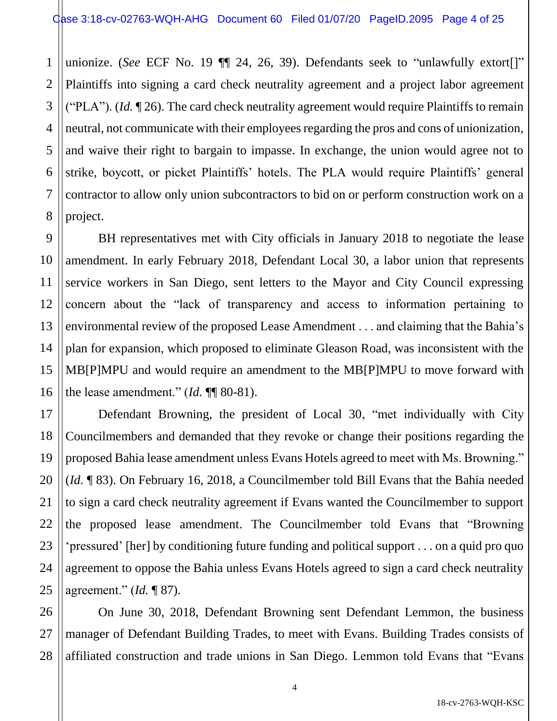1 2 3 4 5 6 7 8 unionize. (*See* ECF No. 19  $\P$  24, 26, 39). Defendants seek to "unlawfully extort[]" Plaintiffs into signing a card check neutrality agreement and a project labor agreement ("PLA"). (*Id.* ¶ 26). The card check neutrality agreement would require Plaintiffs to remain neutral, not communicate with their employees regarding the pros and cons of unionization, and waive their right to bargain to impasse. In exchange, the union would agree not to strike, boycott, or picket Plaintiffs' hotels. The PLA would require Plaintiffs' general contractor to allow only union subcontractors to bid on or perform construction work on a project.

BH representatives met with City officials in January 2018 to negotiate the lease amendment. In early February 2018, Defendant Local 30, a labor union that represents service workers in San Diego, sent letters to the Mayor and City Council expressing concern about the "lack of transparency and access to information pertaining to environmental review of the proposed Lease Amendment . . . and claiming that the Bahia's plan for expansion, which proposed to eliminate Gleason Road, was inconsistent with the MB[P]MPU and would require an amendment to the MB[P]MPU to move forward with the lease amendment." (*Id.* ¶¶ 80-81).

9

10

11

12

13

14

15

16

17

18

19

20

21

22

23

24

25

Defendant Browning, the president of Local 30, "met individually with City Councilmembers and demanded that they revoke or change their positions regarding the proposed Bahia lease amendment unless Evans Hotels agreed to meet with Ms. Browning." (*Id.* ¶ 83). On February 16, 2018, a Councilmember told Bill Evans that the Bahia needed to sign a card check neutrality agreement if Evans wanted the Councilmember to support the proposed lease amendment. The Councilmember told Evans that "Browning 'pressured' [her] by conditioning future funding and political support . . . on a quid pro quo agreement to oppose the Bahia unless Evans Hotels agreed to sign a card check neutrality agreement." (*Id.* ¶ 87).

26 27 28 On June 30, 2018, Defendant Browning sent Defendant Lemmon, the business manager of Defendant Building Trades, to meet with Evans. Building Trades consists of affiliated construction and trade unions in San Diego. Lemmon told Evans that "Evans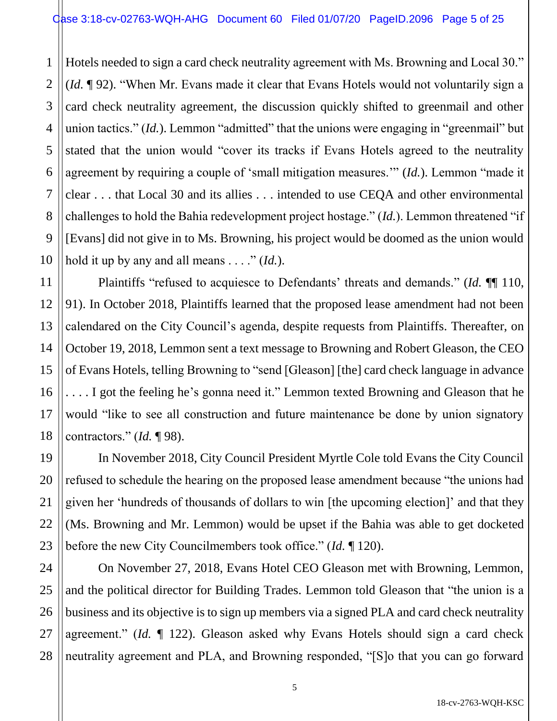1 2 3 Hotels needed to sign a card check neutrality agreement with Ms. Browning and Local 30." (*Id.* ¶ 92). "When Mr. Evans made it clear that Evans Hotels would not voluntarily sign a card check neutrality agreement, the discussion quickly shifted to greenmail and other union tactics." *(Id.)*. Lemmon "admitted" that the unions were engaging in "greenmail" but stated that the union would "cover its tracks if Evans Hotels agreed to the neutrality agreement by requiring a couple of 'small mitigation measures.'" (*Id.*). Lemmon "made it clear . . . that Local 30 and its allies . . . intended to use CEQA and other environmental challenges to hold the Bahia redevelopment project hostage." (*Id.*). Lemmon threatened "if [Evans] did not give in to Ms. Browning, his project would be doomed as the union would hold it up by any and all means . . . ." (*Id.*).

Plaintiffs "refused to acquiesce to Defendants' threats and demands." (*Id.* ¶¶ 110, 91). In October 2018, Plaintiffs learned that the proposed lease amendment had not been calendared on the City Council's agenda, despite requests from Plaintiffs. Thereafter, on October 19, 2018, Lemmon sent a text message to Browning and Robert Gleason, the CEO of Evans Hotels, telling Browning to "send [Gleason] [the] card check language in advance . . . . I got the feeling he's gonna need it." Lemmon texted Browning and Gleason that he would "like to see all construction and future maintenance be done by union signatory contractors." (*Id.* ¶ 98).

In November 2018, City Council President Myrtle Cole told Evans the City Council refused to schedule the hearing on the proposed lease amendment because "the unions had given her 'hundreds of thousands of dollars to win [the upcoming election]' and that they (Ms. Browning and Mr. Lemmon) would be upset if the Bahia was able to get docketed before the new City Councilmembers took office." (*Id.* ¶ 120).

On November 27, 2018, Evans Hotel CEO Gleason met with Browning, Lemmon, and the political director for Building Trades. Lemmon told Gleason that "the union is a business and its objective is to sign up members via a signed PLA and card check neutrality agreement." (*Id.* ¶ 122). Gleason asked why Evans Hotels should sign a card check neutrality agreement and PLA, and Browning responded, "[S]o that you can go forward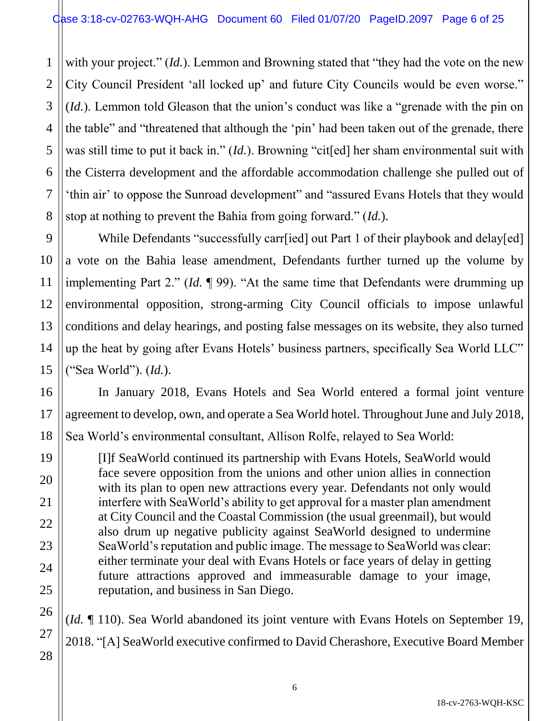with your project." *(Id.)*. Lemmon and Browning stated that "they had the vote on the new City Council President 'all locked up' and future City Councils would be even worse." (*Id.*). Lemmon told Gleason that the union's conduct was like a "grenade with the pin on the table" and "threatened that although the 'pin' had been taken out of the grenade, there was still time to put it back in." (*Id.*). Browning "cit[ed] her sham environmental suit with the Cisterra development and the affordable accommodation challenge she pulled out of 'thin air' to oppose the Sunroad development" and "assured Evans Hotels that they would stop at nothing to prevent the Bahia from going forward." (*Id.*).

While Defendants "successfully carr[ied] out Part 1 of their playbook and delay[ed] a vote on the Bahia lease amendment, Defendants further turned up the volume by implementing Part 2." (*Id.* ¶ 99). "At the same time that Defendants were drumming up environmental opposition, strong-arming City Council officials to impose unlawful conditions and delay hearings, and posting false messages on its website, they also turned up the heat by going after Evans Hotels' business partners, specifically Sea World LLC" ("Sea World"). (*Id.*).

In January 2018, Evans Hotels and Sea World entered a formal joint venture agreement to develop, own, and operate a Sea World hotel. Throughout June and July 2018, Sea World's environmental consultant, Allison Rolfe, relayed to Sea World:

[I]f SeaWorld continued its partnership with Evans Hotels, SeaWorld would face severe opposition from the unions and other union allies in connection with its plan to open new attractions every year. Defendants not only would interfere with SeaWorld's ability to get approval for a master plan amendment at City Council and the Coastal Commission (the usual greenmail), but would also drum up negative publicity against SeaWorld designed to undermine SeaWorld's reputation and public image. The message to SeaWorld was clear: either terminate your deal with Evans Hotels or face years of delay in getting future attractions approved and immeasurable damage to your image, reputation, and business in San Diego.

(*Id.* ¶ 110). Sea World abandoned its joint venture with Evans Hotels on September 19, 2018. "[A] SeaWorld executive confirmed to David Cherashore, Executive Board Member

1

2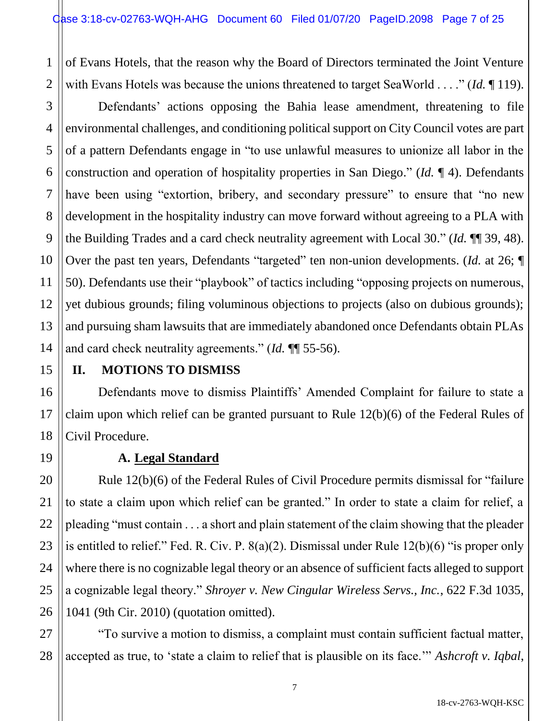1 2 of Evans Hotels, that the reason why the Board of Directors terminated the Joint Venture with Evans Hotels was because the unions threatened to target SeaWorld . . . ." (*Id.* ¶ 119).

Defendants' actions opposing the Bahia lease amendment, threatening to file environmental challenges, and conditioning political support on City Council votes are part of a pattern Defendants engage in "to use unlawful measures to unionize all labor in the construction and operation of hospitality properties in San Diego." (*Id.* ¶ 4). Defendants have been using "extortion, bribery, and secondary pressure" to ensure that "no new development in the hospitality industry can move forward without agreeing to a PLA with the Building Trades and a card check neutrality agreement with Local 30." (*Id.* ¶¶ 39, 48). Over the past ten years, Defendants "targeted" ten non-union developments. (*Id.* at 26; ¶ 50). Defendants use their "playbook" of tactics including "opposing projects on numerous, yet dubious grounds; filing voluminous objections to projects (also on dubious grounds); and pursuing sham lawsuits that are immediately abandoned once Defendants obtain PLAs and card check neutrality agreements." (*Id.* ¶¶ 55-56).

# **II. MOTIONS TO DISMISS**

Defendants move to dismiss Plaintiffs' Amended Complaint for failure to state a claim upon which relief can be granted pursuant to Rule 12(b)(6) of the Federal Rules of Civil Procedure.

# **A. Legal Standard**

Rule 12(b)(6) of the Federal Rules of Civil Procedure permits dismissal for "failure to state a claim upon which relief can be granted." In order to state a claim for relief, a pleading "must contain . . . a short and plain statement of the claim showing that the pleader is entitled to relief." Fed. R. Civ. P. 8(a)(2). Dismissal under Rule 12(b)(6) "is proper only where there is no cognizable legal theory or an absence of sufficient facts alleged to support a cognizable legal theory." *Shroyer v. New Cingular Wireless Servs., Inc.*, 622 F.3d 1035, 1041 (9th Cir. 2010) (quotation omitted).

"To survive a motion to dismiss, a complaint must contain sufficient factual matter, accepted as true, to 'state a claim to relief that is plausible on its face.'" *Ashcroft v. Iqbal*,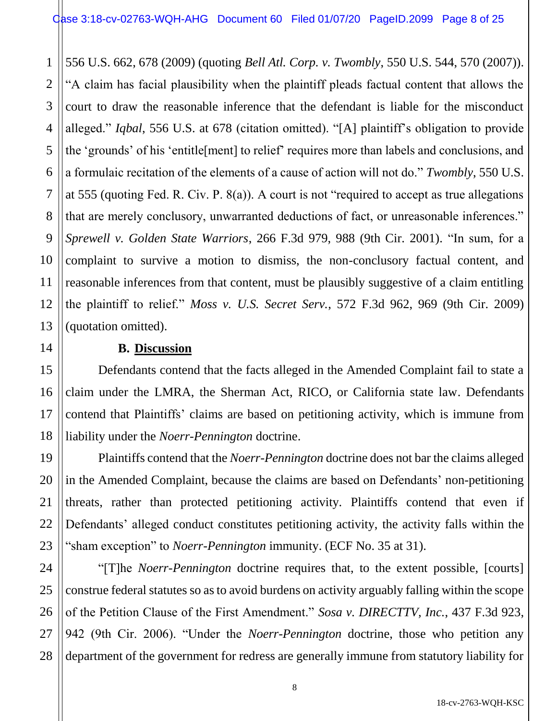1 2 3 4 5 6 7 8 9 10 11 12 13 556 U.S. 662, 678 (2009) (quoting *Bell Atl. Corp. v. Twombly*, 550 U.S. 544, 570 (2007)). "A claim has facial plausibility when the plaintiff pleads factual content that allows the court to draw the reasonable inference that the defendant is liable for the misconduct alleged." *Iqbal*, 556 U.S. at 678 (citation omitted). "[A] plaintiff's obligation to provide the 'grounds' of his 'entitle[ment] to relief' requires more than labels and conclusions, and a formulaic recitation of the elements of a cause of action will not do." *Twombly*, 550 U.S. at 555 (quoting Fed. R. Civ. P. 8(a)). A court is not "required to accept as true allegations that are merely conclusory, unwarranted deductions of fact, or unreasonable inferences." *Sprewell v. Golden State Warriors*, 266 F.3d 979, 988 (9th Cir. 2001). "In sum, for a complaint to survive a motion to dismiss, the non-conclusory factual content, and reasonable inferences from that content, must be plausibly suggestive of a claim entitling the plaintiff to relief." *Moss v. U.S. Secret Serv.*, 572 F.3d 962, 969 (9th Cir. 2009) (quotation omitted).

#### **B. Discussion**

14

15

16

17

18

19

20

21

22

23

Defendants contend that the facts alleged in the Amended Complaint fail to state a claim under the LMRA, the Sherman Act, RICO, or California state law. Defendants contend that Plaintiffs' claims are based on petitioning activity, which is immune from liability under the *Noerr-Pennington* doctrine.

Plaintiffs contend that the *Noerr-Pennington* doctrine does not bar the claims alleged in the Amended Complaint, because the claims are based on Defendants' non-petitioning threats, rather than protected petitioning activity. Plaintiffs contend that even if Defendants' alleged conduct constitutes petitioning activity, the activity falls within the "sham exception" to *Noerr-Pennington* immunity. (ECF No. 35 at 31).

24 25 26 27 28 "[T]he *Noerr-Pennington* doctrine requires that, to the extent possible, [courts] construe federal statutes so as to avoid burdens on activity arguably falling within the scope of the Petition Clause of the First Amendment." *Sosa v. DIRECTTV, Inc.*, 437 F.3d 923, 942 (9th Cir. 2006). "Under the *Noerr-Pennington* doctrine, those who petition any department of the government for redress are generally immune from statutory liability for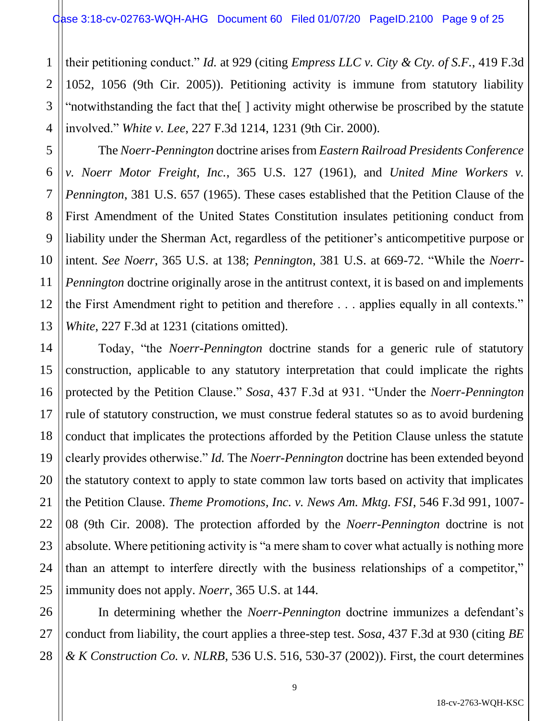1

2

3

4

5

6

7

8

9

10

11

12

13

14

15

16

17

18

19

20

21

22

23

24

25

their petitioning conduct." *Id.* at 929 (citing *Empress LLC v. City & Cty. of S.F.*, 419 F.3d 1052, 1056 (9th Cir. 2005)). Petitioning activity is immune from statutory liability "notwithstanding the fact that the[ ] activity might otherwise be proscribed by the statute involved." *White v. Lee*, 227 F.3d 1214, 1231 (9th Cir. 2000).

The *Noerr-Pennington* doctrine arisesfrom *Eastern Railroad Presidents Conference v. Noerr Motor Freight, Inc.*, 365 U.S. 127 (1961), and *United Mine Workers v. Pennington*, 381 U.S. 657 (1965). These cases established that the Petition Clause of the First Amendment of the United States Constitution insulates petitioning conduct from liability under the Sherman Act, regardless of the petitioner's anticompetitive purpose or intent. *See Noerr*, 365 U.S. at 138; *Pennington*, 381 U.S. at 669-72. "While the *Noerr-Pennington* doctrine originally arose in the antitrust context, it is based on and implements the First Amendment right to petition and therefore . . . applies equally in all contexts." *White*, 227 F.3d at 1231 (citations omitted).

Today, "the *Noerr-Pennington* doctrine stands for a generic rule of statutory construction, applicable to any statutory interpretation that could implicate the rights protected by the Petition Clause." *Sosa*, 437 F.3d at 931. "Under the *Noerr-Pennington*  rule of statutory construction, we must construe federal statutes so as to avoid burdening conduct that implicates the protections afforded by the Petition Clause unless the statute clearly provides otherwise." *Id.* The *Noerr-Pennington* doctrine has been extended beyond the statutory context to apply to state common law torts based on activity that implicates the Petition Clause. *Theme Promotions, Inc. v. News Am. Mktg. FSI*, 546 F.3d 991, 1007- 08 (9th Cir. 2008). The protection afforded by the *Noerr-Pennington* doctrine is not absolute. Where petitioning activity is "a mere sham to cover what actually is nothing more than an attempt to interfere directly with the business relationships of a competitor," immunity does not apply. *Noerr*, 365 U.S. at 144.

26 27 28 In determining whether the *Noerr-Pennington* doctrine immunizes a defendant's conduct from liability, the court applies a three-step test. *Sosa*, 437 F.3d at 930 (citing *BE & K Construction Co. v. NLRB*, 536 U.S. 516, 530-37 (2002)). First, the court determines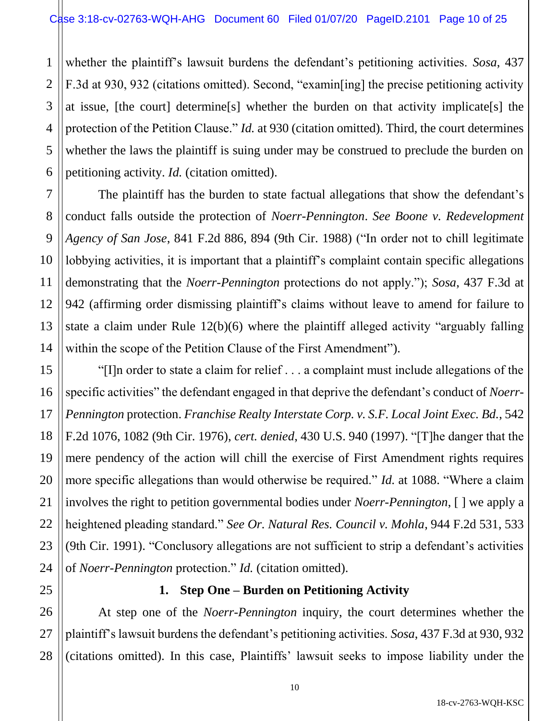1 2 3 4 5 6 whether the plaintiff's lawsuit burdens the defendant's petitioning activities. *Sosa*, 437 F.3d at 930, 932 (citations omitted). Second, "examin[ing] the precise petitioning activity at issue, [the court] determine[s] whether the burden on that activity implicate[s] the protection of the Petition Clause." *Id.* at 930 (citation omitted). Third, the court determines whether the laws the plaintiff is suing under may be construed to preclude the burden on petitioning activity. *Id.* (citation omitted).

7 8 9 10 12 13 14 The plaintiff has the burden to state factual allegations that show the defendant's conduct falls outside the protection of *Noerr-Pennington*. *See Boone v. Redevelopment Agency of San Jose*, 841 F.2d 886, 894 (9th Cir. 1988) ("In order not to chill legitimate lobbying activities, it is important that a plaintiff's complaint contain specific allegations demonstrating that the *Noerr-Pennington* protections do not apply."); *Sosa*, 437 F.3d at 942 (affirming order dismissing plaintiff's claims without leave to amend for failure to state a claim under Rule 12(b)(6) where the plaintiff alleged activity "arguably falling within the scope of the Petition Clause of the First Amendment").

11

15

16

17

18

19

20

21

22

23

24

25

"[I]n order to state a claim for relief . . . a complaint must include allegations of the specific activities" the defendant engaged in that deprive the defendant's conduct of *Noerr-Pennington* protection. *Franchise Realty Interstate Corp. v. S.F. Local Joint Exec. Bd.*, 542 F.2d 1076, 1082 (9th Cir. 1976), *cert. denied*, 430 U.S. 940 (1997). "[T]he danger that the mere pendency of the action will chill the exercise of First Amendment rights requires more specific allegations than would otherwise be required." *Id.* at 1088. "Where a claim involves the right to petition governmental bodies under *Noerr-Pennington*, [ ] we apply a heightened pleading standard." *See Or. Natural Res. Council v. Mohla*, 944 F.2d 531, 533 (9th Cir. 1991). "Conclusory allegations are not sufficient to strip a defendant's activities of *Noerr-Pennington* protection." *Id.* (citation omitted).

**1. Step One – Burden on Petitioning Activity**

26 27 28 At step one of the *Noerr-Pennington* inquiry, the court determines whether the plaintiff's lawsuit burdens the defendant's petitioning activities. *Sosa*, 437 F.3d at 930, 932 (citations omitted). In this case, Plaintiffs' lawsuit seeks to impose liability under the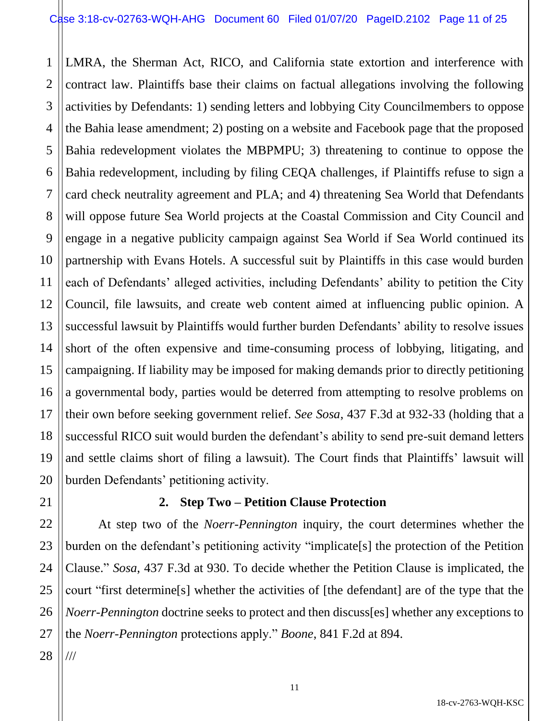1 2 3 4 5 6 7 8 9 10 11 12 13 14 15 16 17 18 19 20 LMRA, the Sherman Act, RICO, and California state extortion and interference with contract law. Plaintiffs base their claims on factual allegations involving the following activities by Defendants: 1) sending letters and lobbying City Councilmembers to oppose the Bahia lease amendment; 2) posting on a website and Facebook page that the proposed Bahia redevelopment violates the MBPMPU; 3) threatening to continue to oppose the Bahia redevelopment, including by filing CEQA challenges, if Plaintiffs refuse to sign a card check neutrality agreement and PLA; and 4) threatening Sea World that Defendants will oppose future Sea World projects at the Coastal Commission and City Council and engage in a negative publicity campaign against Sea World if Sea World continued its partnership with Evans Hotels. A successful suit by Plaintiffs in this case would burden each of Defendants' alleged activities, including Defendants' ability to petition the City Council, file lawsuits, and create web content aimed at influencing public opinion. A successful lawsuit by Plaintiffs would further burden Defendants' ability to resolve issues short of the often expensive and time-consuming process of lobbying, litigating, and campaigning. If liability may be imposed for making demands prior to directly petitioning a governmental body, parties would be deterred from attempting to resolve problems on their own before seeking government relief. *See Sosa*, 437 F.3d at 932-33 (holding that a successful RICO suit would burden the defendant's ability to send pre-suit demand letters and settle claims short of filing a lawsuit). The Court finds that Plaintiffs' lawsuit will burden Defendants' petitioning activity.

## **2. Step Two – Petition Clause Protection**

At step two of the *Noerr-Pennington* inquiry, the court determines whether the burden on the defendant's petitioning activity "implicate[s] the protection of the Petition Clause." *Sosa*, 437 F.3d at 930. To decide whether the Petition Clause is implicated, the court "first determine[s] whether the activities of [the defendant] are of the type that the *Noerr-Pennington* doctrine seeks to protect and then discuss[es] whether any exceptions to the *Noerr-Pennington* protections apply." *Boone*, 841 F.2d at 894.

28 ///

21

22

23

24

25

26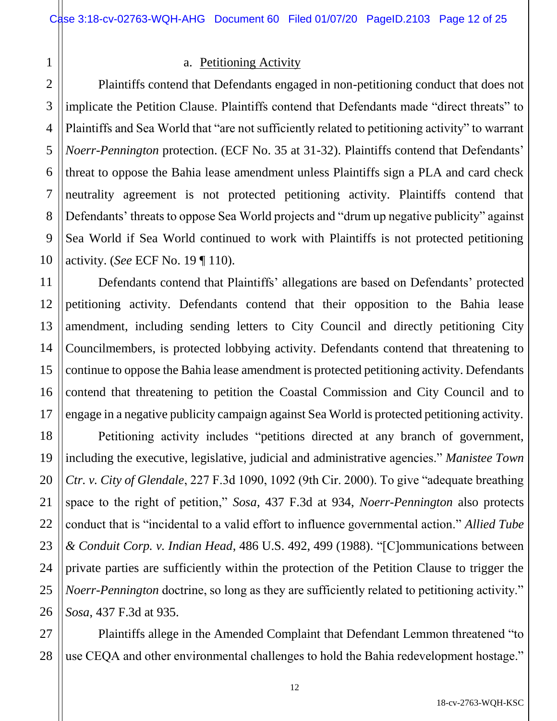## a. Petitioning Activity

2 Plaintiffs contend that Defendants engaged in non-petitioning conduct that does not implicate the Petition Clause. Plaintiffs contend that Defendants made "direct threats" to Plaintiffs and Sea World that "are not sufficiently related to petitioning activity" to warrant *Noerr-Pennington* protection. (ECF No. 35 at 31-32). Plaintiffs contend that Defendants' threat to oppose the Bahia lease amendment unless Plaintiffs sign a PLA and card check neutrality agreement is not protected petitioning activity. Plaintiffs contend that Defendants' threats to oppose Sea World projects and "drum up negative publicity" against Sea World if Sea World continued to work with Plaintiffs is not protected petitioning activity. (*See* ECF No. 19 ¶ 110).

Defendants contend that Plaintiffs' allegations are based on Defendants' protected petitioning activity. Defendants contend that their opposition to the Bahia lease amendment, including sending letters to City Council and directly petitioning City Councilmembers, is protected lobbying activity. Defendants contend that threatening to continue to oppose the Bahia lease amendment is protected petitioning activity. Defendants contend that threatening to petition the Coastal Commission and City Council and to engage in a negative publicity campaign against Sea World is protected petitioning activity.

Petitioning activity includes "petitions directed at any branch of government, including the executive, legislative, judicial and administrative agencies." *Manistee Town Ctr. v. City of Glendale*, 227 F.3d 1090, 1092 (9th Cir. 2000). To give "adequate breathing space to the right of petition," *Sosa*, 437 F.3d at 934, *Noerr-Pennington* also protects conduct that is "incidental to a valid effort to influence governmental action." *Allied Tube & Conduit Corp. v. Indian Head*, 486 U.S. 492, 499 (1988). "[C]ommunications between private parties are sufficiently within the protection of the Petition Clause to trigger the *Noerr-Pennington* doctrine, so long as they are sufficiently related to petitioning activity." *Sosa*, 437 F.3d at 935.

Plaintiffs allege in the Amended Complaint that Defendant Lemmon threatened "to use CEQA and other environmental challenges to hold the Bahia redevelopment hostage."

18-cv-2763-WQH-KSC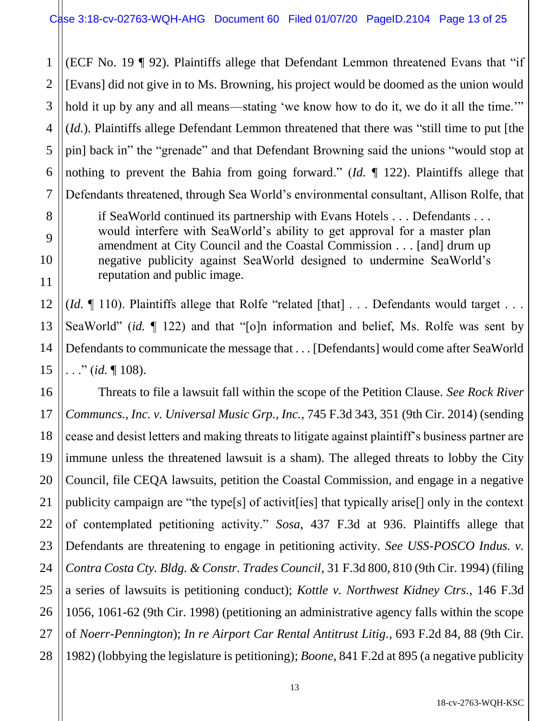1 (ECF No. 19 ¶ 92). Plaintiffs allege that Defendant Lemmon threatened Evans that "if [Evans] did not give in to Ms. Browning, his project would be doomed as the union would hold it up by any and all means—stating 'we know how to do it, we do it all the time." (*Id.*). Plaintiffs allege Defendant Lemmon threatened that there was "still time to put [the pin] back in" the "grenade" and that Defendant Browning said the unions "would stop at nothing to prevent the Bahia from going forward." (*Id.* ¶ 122). Plaintiffs allege that Defendants threatened, through Sea World's environmental consultant, Allison Rolfe, that

if SeaWorld continued its partnership with Evans Hotels . . . Defendants . . . would interfere with SeaWorld's ability to get approval for a master plan amendment at City Council and the Coastal Commission . . . [and] drum up negative publicity against SeaWorld designed to undermine SeaWorld's reputation and public image.

(*Id.*  $\llbracket$  110). Plaintiffs allege that Rolfe "related [that] . . . Defendants would target . . . SeaWorld" (*id.* ¶ 122) and that "[o]n information and belief, Ms. Rolfe was sent by Defendants to communicate the message that . . . [Defendants] would come after SeaWorld . . ." (*id.* ¶ 108).

Threats to file a lawsuit fall within the scope of the Petition Clause. *See Rock River Communcs., Inc. v. Universal Music Grp., Inc.*, 745 F.3d 343, 351 (9th Cir. 2014) (sending cease and desist letters and making threats to litigate against plaintiff's business partner are immune unless the threatened lawsuit is a sham). The alleged threats to lobby the City Council, file CEQA lawsuits, petition the Coastal Commission, and engage in a negative publicity campaign are "the type[s] of activit[ies] that typically arise[] only in the context of contemplated petitioning activity." *Sosa*, 437 F.3d at 936. Plaintiffs allege that Defendants are threatening to engage in petitioning activity. *See USS-POSCO Indus. v. Contra Costa Cty. Bldg. & Constr. Trades Council*, 31 F.3d 800, 810 (9th Cir. 1994) (filing a series of lawsuits is petitioning conduct); *Kottle v. Northwest Kidney Ctrs.*, 146 F.3d 1056, 1061-62 (9th Cir. 1998) (petitioning an administrative agency falls within the scope of *Noerr-Pennington*); *In re Airport Car Rental Antitrust Litig.*, 693 F.2d 84, 88 (9th Cir. 1982) (lobbying the legislature is petitioning); *Boone*, 841 F.2d at 895 (a negative publicity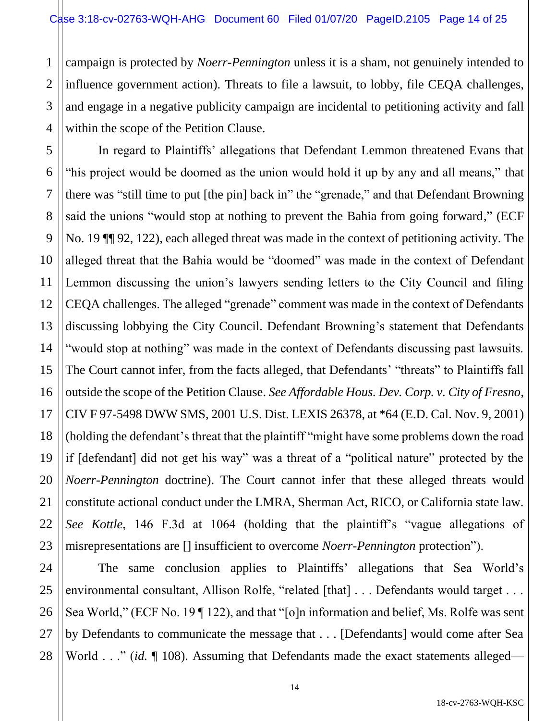1 2 3 4 campaign is protected by *Noerr-Pennington* unless it is a sham, not genuinely intended to influence government action). Threats to file a lawsuit, to lobby, file CEQA challenges, and engage in a negative publicity campaign are incidental to petitioning activity and fall within the scope of the Petition Clause.

7

11

21

5 6 8 9 10 12 13 14 15 16 17 18 19 20 22 23 In regard to Plaintiffs' allegations that Defendant Lemmon threatened Evans that "his project would be doomed as the union would hold it up by any and all means," that there was "still time to put [the pin] back in" the "grenade," and that Defendant Browning said the unions "would stop at nothing to prevent the Bahia from going forward," (ECF No. 19 ¶¶ 92, 122), each alleged threat was made in the context of petitioning activity. The alleged threat that the Bahia would be "doomed" was made in the context of Defendant Lemmon discussing the union's lawyers sending letters to the City Council and filing CEQA challenges. The alleged "grenade" comment was made in the context of Defendants discussing lobbying the City Council. Defendant Browning's statement that Defendants "would stop at nothing" was made in the context of Defendants discussing past lawsuits. The Court cannot infer, from the facts alleged, that Defendants' "threats" to Plaintiffs fall outside the scope of the Petition Clause. *See Affordable Hous. Dev. Corp. v. City of Fresno*, CIV F 97-5498 DWW SMS, 2001 U.S. Dist. LEXIS 26378, at \*64 (E.D. Cal. Nov. 9, 2001) (holding the defendant's threat that the plaintiff "might have some problems down the road if [defendant] did not get his way" was a threat of a "political nature" protected by the *Noerr-Pennington* doctrine). The Court cannot infer that these alleged threats would constitute actional conduct under the LMRA, Sherman Act, RICO, or California state law. *See Kottle*, 146 F.3d at 1064 (holding that the plaintiff's "vague allegations of misrepresentations are [] insufficient to overcome *Noerr-Pennington* protection").

24 25 26 27 28 The same conclusion applies to Plaintiffs' allegations that Sea World's environmental consultant, Allison Rolfe, "related [that] . . . Defendants would target . . . Sea World," (ECF No. 19 ¶ 122), and that "[o]n information and belief, Ms. Rolfe was sent by Defendants to communicate the message that . . . [Defendants] would come after Sea World . . ." *(id.*  $\llbracket$  108). Assuming that Defendants made the exact statements alleged—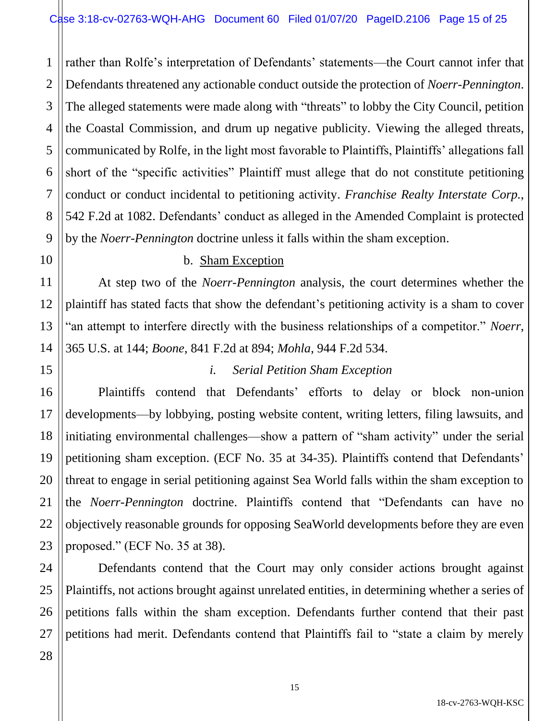1 2 3 4 5 6 rather than Rolfe's interpretation of Defendants' statements—the Court cannot infer that Defendants threatened any actionable conduct outside the protection of *Noerr-Pennington*. The alleged statements were made along with "threats" to lobby the City Council, petition the Coastal Commission, and drum up negative publicity. Viewing the alleged threats, communicated by Rolfe, in the light most favorable to Plaintiffs, Plaintiffs' allegations fall short of the "specific activities" Plaintiff must allege that do not constitute petitioning conduct or conduct incidental to petitioning activity. *Franchise Realty Interstate Corp.*, 542 F.2d at 1082. Defendants' conduct as alleged in the Amended Complaint is protected by the *Noerr-Pennington* doctrine unless it falls within the sham exception.

# b. Sham Exception

At step two of the *Noerr-Pennington* analysis, the court determines whether the plaintiff has stated facts that show the defendant's petitioning activity is a sham to cover "an attempt to interfere directly with the business relationships of a competitor." *Noerr*, 365 U.S. at 144; *Boone*, 841 F.2d at 894; *Mohla*, 944 F.2d 534.

# *i. Serial Petition Sham Exception*

Plaintiffs contend that Defendants' efforts to delay or block non-union developments—by lobbying, posting website content, writing letters, filing lawsuits, and initiating environmental challenges—show a pattern of "sham activity" under the serial petitioning sham exception. (ECF No. 35 at 34-35). Plaintiffs contend that Defendants' threat to engage in serial petitioning against Sea World falls within the sham exception to the *Noerr-Pennington* doctrine. Plaintiffs contend that "Defendants can have no objectively reasonable grounds for opposing SeaWorld developments before they are even proposed." (ECF No. 35 at 38).

Defendants contend that the Court may only consider actions brought against Plaintiffs, not actions brought against unrelated entities, in determining whether a series of petitions falls within the sham exception. Defendants further contend that their past petitions had merit. Defendants contend that Plaintiffs fail to "state a claim by merely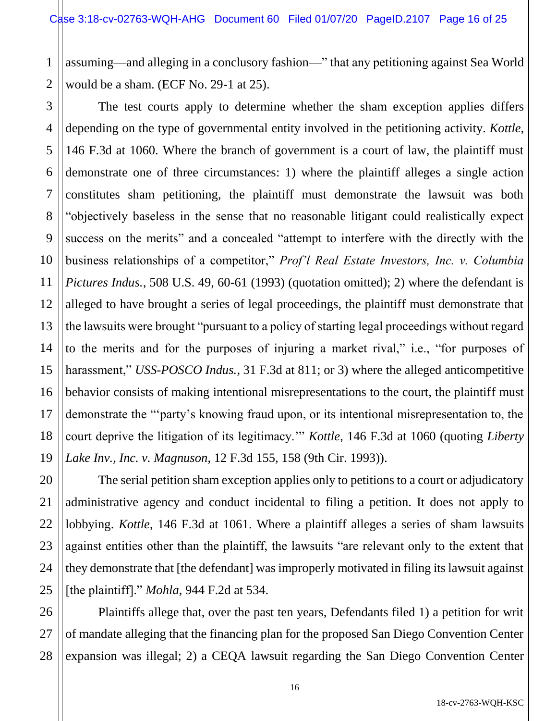1 2 assuming—and alleging in a conclusory fashion—" that any petitioning against Sea World would be a sham. (ECF No. 29-1 at 25).

3 4 5 6 7 8 9 10 11 12 13 14 15 16 17 18 19 The test courts apply to determine whether the sham exception applies differs depending on the type of governmental entity involved in the petitioning activity. *Kottle*, 146 F.3d at 1060. Where the branch of government is a court of law, the plaintiff must demonstrate one of three circumstances: 1) where the plaintiff alleges a single action constitutes sham petitioning, the plaintiff must demonstrate the lawsuit was both "objectively baseless in the sense that no reasonable litigant could realistically expect success on the merits" and a concealed "attempt to interfere with the directly with the business relationships of a competitor," *Prof'l Real Estate Investors, Inc. v. Columbia Pictures Indus.*, 508 U.S. 49, 60-61 (1993) (quotation omitted); 2) where the defendant is alleged to have brought a series of legal proceedings, the plaintiff must demonstrate that the lawsuits were brought "pursuant to a policy of starting legal proceedings without regard to the merits and for the purposes of injuring a market rival," i.e., "for purposes of harassment," *USS-POSCO Indus.*, 31 F.3d at 811; or 3) where the alleged anticompetitive behavior consists of making intentional misrepresentations to the court, the plaintiff must demonstrate the "'party's knowing fraud upon, or its intentional misrepresentation to, the court deprive the litigation of its legitimacy.'" *Kottle*, 146 F.3d at 1060 (quoting *Liberty Lake Inv., Inc. v. Magnuson*, 12 F.3d 155, 158 (9th Cir. 1993)).

20 24 25 The serial petition sham exception applies only to petitions to a court or adjudicatory administrative agency and conduct incidental to filing a petition. It does not apply to lobbying. *Kottle*, 146 F.3d at 1061. Where a plaintiff alleges a series of sham lawsuits against entities other than the plaintiff, the lawsuits "are relevant only to the extent that they demonstrate that [the defendant] was improperly motivated in filing its lawsuit against [the plaintiff]." *Mohla*, 944 F.2d at 534.

21

22

23

27

26 28 Plaintiffs allege that, over the past ten years, Defendants filed 1) a petition for writ of mandate alleging that the financing plan for the proposed San Diego Convention Center expansion was illegal; 2) a CEQA lawsuit regarding the San Diego Convention Center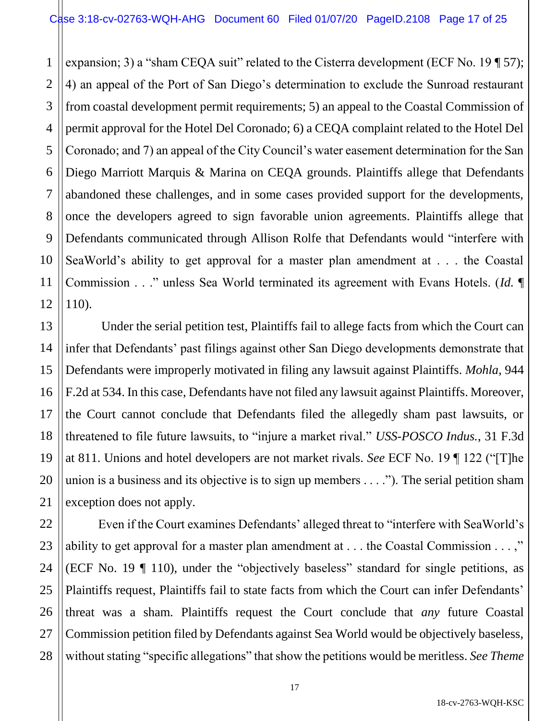1 2 3 expansion; 3) a "sham CEQA suit" related to the Cisterra development (ECF No. 19 ¶ 57); 4) an appeal of the Port of San Diego's determination to exclude the Sunroad restaurant from coastal development permit requirements; 5) an appeal to the Coastal Commission of permit approval for the Hotel Del Coronado; 6) a CEQA complaint related to the Hotel Del Coronado; and 7) an appeal of the City Council's water easement determination for the San Diego Marriott Marquis & Marina on CEQA grounds. Plaintiffs allege that Defendants abandoned these challenges, and in some cases provided support for the developments, once the developers agreed to sign favorable union agreements. Plaintiffs allege that Defendants communicated through Allison Rolfe that Defendants would "interfere with SeaWorld's ability to get approval for a master plan amendment at . . . the Coastal Commission . . ." unless Sea World terminated its agreement with Evans Hotels. (*Id.* ¶ 110).

Under the serial petition test, Plaintiffs fail to allege facts from which the Court can infer that Defendants' past filings against other San Diego developments demonstrate that Defendants were improperly motivated in filing any lawsuit against Plaintiffs. *Mohla*, 944 F.2d at 534. In this case, Defendants have not filed any lawsuit against Plaintiffs. Moreover, the Court cannot conclude that Defendants filed the allegedly sham past lawsuits, or threatened to file future lawsuits, to "injure a market rival." *USS-POSCO Indus.*, 31 F.3d at 811. Unions and hotel developers are not market rivals. *See* ECF No. 19 ¶ 122 ("[T]he union is a business and its objective is to sign up members . . . ."). The serial petition sham exception does not apply.

Even if the Court examines Defendants' alleged threat to "interfere with SeaWorld's ability to get approval for a master plan amendment at . . . the Coastal Commission . . . ," (ECF No. 19 ¶ 110), under the "objectively baseless" standard for single petitions, as Plaintiffs request, Plaintiffs fail to state facts from which the Court can infer Defendants' threat was a sham. Plaintiffs request the Court conclude that *any* future Coastal Commission petition filed by Defendants against Sea World would be objectively baseless, without stating "specific allegations" that show the petitions would be meritless. *See Theme*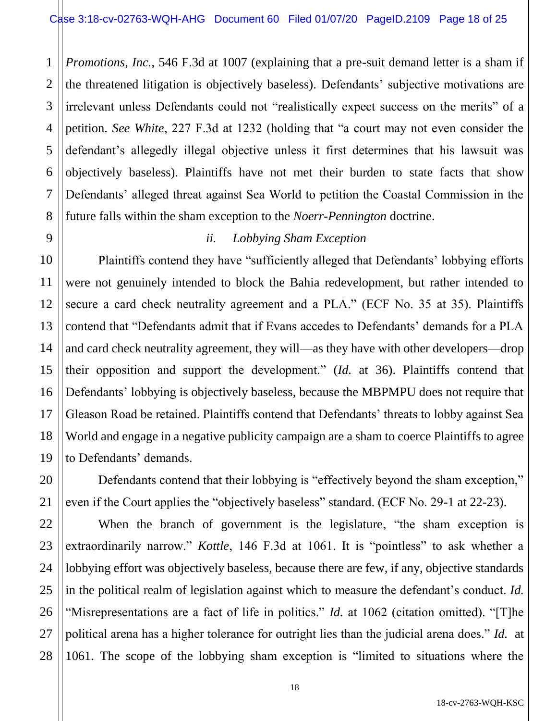1 2 *Promotions, Inc.*, 546 F.3d at 1007 (explaining that a pre-suit demand letter is a sham if the threatened litigation is objectively baseless). Defendants' subjective motivations are irrelevant unless Defendants could not "realistically expect success on the merits" of a petition. *See White*, 227 F.3d at 1232 (holding that "a court may not even consider the defendant's allegedly illegal objective unless it first determines that his lawsuit was objectively baseless). Plaintiffs have not met their burden to state facts that show Defendants' alleged threat against Sea World to petition the Coastal Commission in the future falls within the sham exception to the *Noerr-Pennington* doctrine.

## *ii. Lobbying Sham Exception*

Plaintiffs contend they have "sufficiently alleged that Defendants' lobbying efforts were not genuinely intended to block the Bahia redevelopment, but rather intended to secure a card check neutrality agreement and a PLA." (ECF No. 35 at 35). Plaintiffs contend that "Defendants admit that if Evans accedes to Defendants' demands for a PLA and card check neutrality agreement, they will—as they have with other developers—drop their opposition and support the development." (*Id.* at 36). Plaintiffs contend that Defendants' lobbying is objectively baseless, because the MBPMPU does not require that Gleason Road be retained. Plaintiffs contend that Defendants' threats to lobby against Sea World and engage in a negative publicity campaign are a sham to coerce Plaintiffs to agree to Defendants' demands.

Defendants contend that their lobbying is "effectively beyond the sham exception," even if the Court applies the "objectively baseless" standard. (ECF No. 29-1 at 22-23).

When the branch of government is the legislature, "the sham exception is extraordinarily narrow." *Kottle*, 146 F.3d at 1061. It is "pointless" to ask whether a lobbying effort was objectively baseless, because there are few, if any, objective standards in the political realm of legislation against which to measure the defendant's conduct. *Id.*  "Misrepresentations are a fact of life in politics." *Id.* at 1062 (citation omitted). "[T]he political arena has a higher tolerance for outright lies than the judicial arena does." *Id.* at 1061. The scope of the lobbying sham exception is "limited to situations where the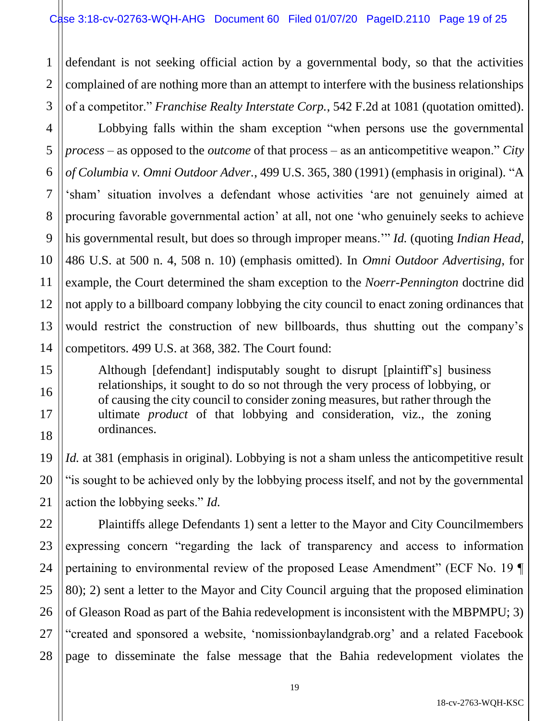3 defendant is not seeking official action by a governmental body, so that the activities complained of are nothing more than an attempt to interfere with the business relationships of a competitor." *Franchise Realty Interstate Corp.*, 542 F.2d at 1081 (quotation omitted).

Lobbying falls within the sham exception "when persons use the governmental *process* – as opposed to the *outcome* of that process – as an anticompetitive weapon." *City of Columbia v. Omni Outdoor Adver.*, 499 U.S. 365, 380 (1991) (emphasis in original). "A 'sham' situation involves a defendant whose activities 'are not genuinely aimed at procuring favorable governmental action' at all, not one 'who genuinely seeks to achieve his governmental result, but does so through improper means.'" *Id.* (quoting *Indian Head*, 486 U.S. at 500 n. 4, 508 n. 10) (emphasis omitted). In *Omni Outdoor Advertising*, for example, the Court determined the sham exception to the *Noerr-Pennington* doctrine did not apply to a billboard company lobbying the city council to enact zoning ordinances that would restrict the construction of new billboards, thus shutting out the company's competitors. 499 U.S. at 368, 382. The Court found:

Although [defendant] indisputably sought to disrupt [plaintiff's] business relationships, it sought to do so not through the very process of lobbying, or of causing the city council to consider zoning measures, but rather through the ultimate *product* of that lobbying and consideration, viz., the zoning ordinances.

*Id.* at 381 (emphasis in original). Lobbying is not a sham unless the anticompetitive result "is sought to be achieved only by the lobbying process itself, and not by the governmental action the lobbying seeks." *Id.*

Plaintiffs allege Defendants 1) sent a letter to the Mayor and City Councilmembers expressing concern "regarding the lack of transparency and access to information pertaining to environmental review of the proposed Lease Amendment" (ECF No. 19 ¶ 80); 2) sent a letter to the Mayor and City Council arguing that the proposed elimination of Gleason Road as part of the Bahia redevelopment is inconsistent with the MBPMPU; 3) "created and sponsored a website, 'nomissionbaylandgrab.org' and a related Facebook page to disseminate the false message that the Bahia redevelopment violates the

1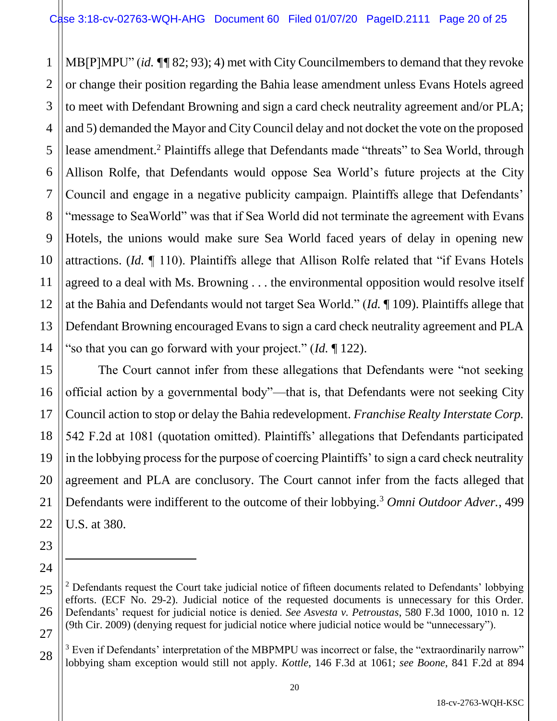1 2 3 4 5 6 7 8 9 10 11 12 13 14 MB[P]MPU" (*id. ¶¶* 82; 93); 4) met with City Councilmembers to demand that they revoke or change their position regarding the Bahia lease amendment unless Evans Hotels agreed to meet with Defendant Browning and sign a card check neutrality agreement and/or PLA; and 5) demanded the Mayor and City Council delay and not docket the vote on the proposed lease amendment.<sup>2</sup> Plaintiffs allege that Defendants made "threats" to Sea World, through Allison Rolfe, that Defendants would oppose Sea World's future projects at the City Council and engage in a negative publicity campaign. Plaintiffs allege that Defendants' "message to SeaWorld" was that if Sea World did not terminate the agreement with Evans Hotels, the unions would make sure Sea World faced years of delay in opening new attractions. (*Id.* ¶ 110). Plaintiffs allege that Allison Rolfe related that "if Evans Hotels agreed to a deal with Ms. Browning . . . the environmental opposition would resolve itself at the Bahia and Defendants would not target Sea World." (*Id.* ¶ 109). Plaintiffs allege that Defendant Browning encouraged Evans to sign a card check neutrality agreement and PLA "so that you can go forward with your project." (*Id.* ¶ 122).

The Court cannot infer from these allegations that Defendants were "not seeking official action by a governmental body"—that is, that Defendants were not seeking City Council action to stop or delay the Bahia redevelopment. *Franchise Realty Interstate Corp.* 542 F.2d at 1081 (quotation omitted). Plaintiffs' allegations that Defendants participated in the lobbying process for the purpose of coercing Plaintiffs' to sign a card check neutrality agreement and PLA are conclusory. The Court cannot infer from the facts alleged that Defendants were indifferent to the outcome of their lobbying.<sup>3</sup> *Omni Outdoor Adver.*, 499 U.S. at 380.

15

16

17

18

19

20

21

22

23

24

 $\ddot{\phantom{a}}$ 

<sup>25</sup> 26 27  $2$  Defendants request the Court take judicial notice of fifteen documents related to Defendants' lobbying efforts. (ECF No. 29-2). Judicial notice of the requested documents is unnecessary for this Order. Defendants' request for judicial notice is denied. *See Asvesta v. Petroustas*, 580 F.3d 1000, 1010 n. 12 (9th Cir. 2009) (denying request for judicial notice where judicial notice would be "unnecessary").

 $3$  Even if Defendants' interpretation of the MBPMPU was incorrect or false, the "extraordinarily narrow" lobbying sham exception would still not apply. *Kottle*, 146 F.3d at 1061; *see Boone*, 841 F.2d at 894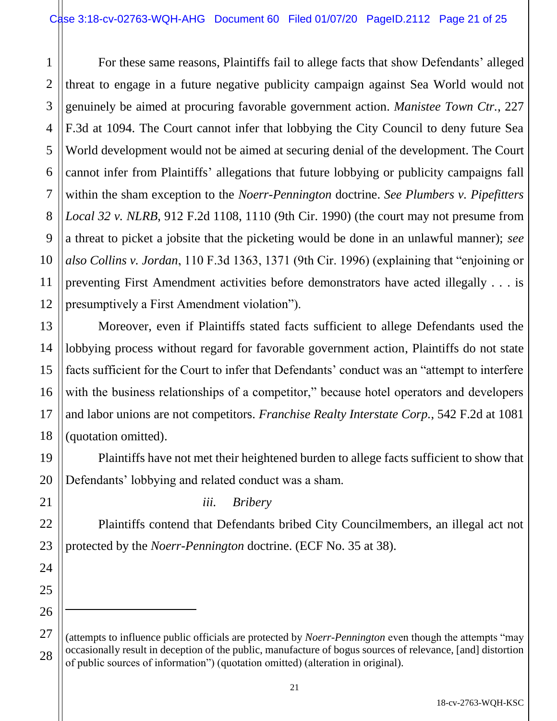1 2 3 4 5 6 7 8 9 10 11 12 For these same reasons, Plaintiffs fail to allege facts that show Defendants' alleged threat to engage in a future negative publicity campaign against Sea World would not genuinely be aimed at procuring favorable government action. *Manistee Town Ctr.*, 227 F.3d at 1094. The Court cannot infer that lobbying the City Council to deny future Sea World development would not be aimed at securing denial of the development. The Court cannot infer from Plaintiffs' allegations that future lobbying or publicity campaigns fall within the sham exception to the *Noerr-Pennington* doctrine. *See Plumbers v. Pipefitters Local 32 v. NLRB*, 912 F.2d 1108, 1110 (9th Cir. 1990) (the court may not presume from a threat to picket a jobsite that the picketing would be done in an unlawful manner); *see also Collins v. Jordan*, 110 F.3d 1363, 1371 (9th Cir. 1996) (explaining that "enjoining or preventing First Amendment activities before demonstrators have acted illegally . . . is presumptively a First Amendment violation").

Moreover, even if Plaintiffs stated facts sufficient to allege Defendants used the lobbying process without regard for favorable government action, Plaintiffs do not state facts sufficient for the Court to infer that Defendants' conduct was an "attempt to interfere with the business relationships of a competitor," because hotel operators and developers and labor unions are not competitors. *Franchise Realty Interstate Corp.*, 542 F.2d at 1081 (quotation omitted).

Plaintiffs have not met their heightened burden to allege facts sufficient to show that Defendants' lobbying and related conduct was a sham.

*iii. Bribery*

13

14

15

16

17

18

19

20

21

22

23

24

25

26

 $\ddot{\phantom{a}}$ 

27

Plaintiffs contend that Defendants bribed City Councilmembers, an illegal act not protected by the *Noerr-Pennington* doctrine. (ECF No. 35 at 38).

<sup>28</sup> (attempts to influence public officials are protected by *Noerr-Pennington* even though the attempts "may occasionally result in deception of the public, manufacture of bogus sources of relevance, [and] distortion of public sources of information") (quotation omitted) (alteration in original).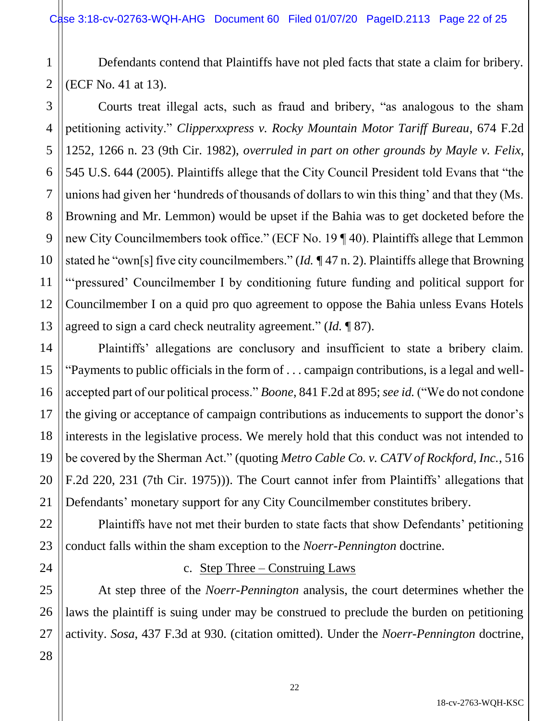1 2 Defendants contend that Plaintiffs have not pled facts that state a claim for bribery. (ECF No. 41 at 13).

Courts treat illegal acts, such as fraud and bribery, "as analogous to the sham petitioning activity." *Clipperxxpress v. Rocky Mountain Motor Tariff Bureau*, 674 F.2d 1252, 1266 n. 23 (9th Cir. 1982), *overruled in part on other grounds by Mayle v. Felix*, 545 U.S. 644 (2005). Plaintiffs allege that the City Council President told Evans that "the unions had given her 'hundreds of thousands of dollars to win this thing' and that they (Ms. Browning and Mr. Lemmon) would be upset if the Bahia was to get docketed before the new City Councilmembers took office." (ECF No. 19 ¶ 40). Plaintiffs allege that Lemmon stated he "own[s] five city councilmembers." (*Id. ¶* 47 n. 2). Plaintiffs allege that Browning "'pressured' Councilmember I by conditioning future funding and political support for Councilmember I on a quid pro quo agreement to oppose the Bahia unless Evans Hotels agreed to sign a card check neutrality agreement." (*Id.* ¶ 87).

Plaintiffs' allegations are conclusory and insufficient to state a bribery claim. "Payments to public officials in the form of . . . campaign contributions, is a legal and wellaccepted part of our political process." *Boone*, 841 F.2d at 895; *see id.* ("We do not condone the giving or acceptance of campaign contributions as inducements to support the donor's interests in the legislative process. We merely hold that this conduct was not intended to be covered by the Sherman Act." (quoting *Metro Cable Co. v. CATV of Rockford, Inc.*, 516 F.2d 220, 231 (7th Cir. 1975))). The Court cannot infer from Plaintiffs' allegations that Defendants' monetary support for any City Councilmember constitutes bribery.

Plaintiffs have not met their burden to state facts that show Defendants' petitioning conduct falls within the sham exception to the *Noerr-Pennington* doctrine.

#### c. Step Three – Construing Laws

At step three of the *Noerr-Pennington* analysis, the court determines whether the laws the plaintiff is suing under may be construed to preclude the burden on petitioning activity. *Sosa*, 437 F.3d at 930*.* (citation omitted). Under the *Noerr-Pennington* doctrine,

3

4

5

6

7

8

9

10

11

12

13

14

15

16

17

18

19

20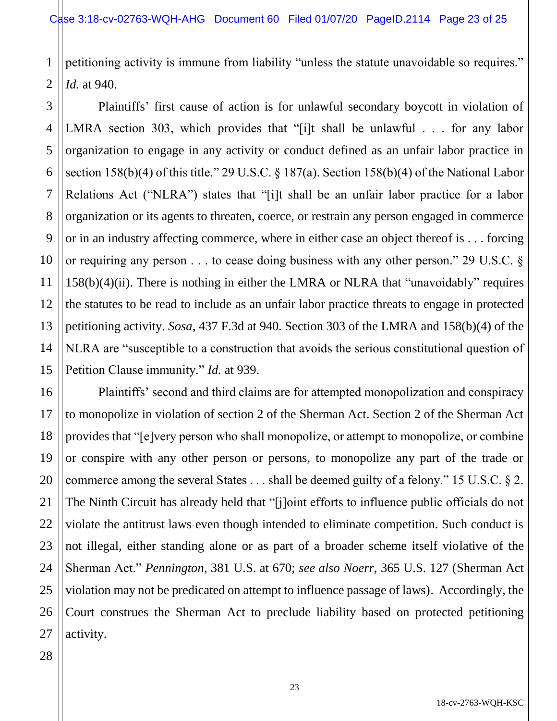1 2 petitioning activity is immune from liability "unless the statute unavoidable so requires." *Id.* at 940.

3 4 Plaintiffs' first cause of action is for unlawful secondary boycott in violation of LMRA section 303, which provides that "[i]t shall be unlawful . . . for any labor organization to engage in any activity or conduct defined as an unfair labor practice in section 158(b)(4) of this title." 29 U.S.C. § 187(a). Section 158(b)(4) of the National Labor Relations Act ("NLRA") states that "[i]t shall be an unfair labor practice for a labor organization or its agents to threaten, coerce, or restrain any person engaged in commerce or in an industry affecting commerce, where in either case an object thereof is . . . forcing or requiring any person . . . to cease doing business with any other person." 29 U.S.C. § 158(b)(4)(ii). There is nothing in either the LMRA or NLRA that "unavoidably" requires the statutes to be read to include as an unfair labor practice threats to engage in protected petitioning activity. *Sosa*, 437 F.3d at 940. Section 303 of the LMRA and 158(b)(4) of the NLRA are "susceptible to a construction that avoids the serious constitutional question of Petition Clause immunity." *Id.* at 939.

Plaintiffs' second and third claims are for attempted monopolization and conspiracy to monopolize in violation of section 2 of the Sherman Act. Section 2 of the Sherman Act provides that "[e]very person who shall monopolize, or attempt to monopolize, or combine or conspire with any other person or persons, to monopolize any part of the trade or commerce among the several States . . . shall be deemed guilty of a felony." 15 U.S.C. § 2. The Ninth Circuit has already held that "[j]oint efforts to influence public officials do not violate the antitrust laws even though intended to eliminate competition. Such conduct is not illegal, either standing alone or as part of a broader scheme itself violative of the Sherman Act." *Pennington*, 381 U.S. at 670; *see also Noerr*, 365 U.S. 127 (Sherman Act violation may not be predicated on attempt to influence passage of laws). Accordingly, the Court construes the Sherman Act to preclude liability based on protected petitioning activity.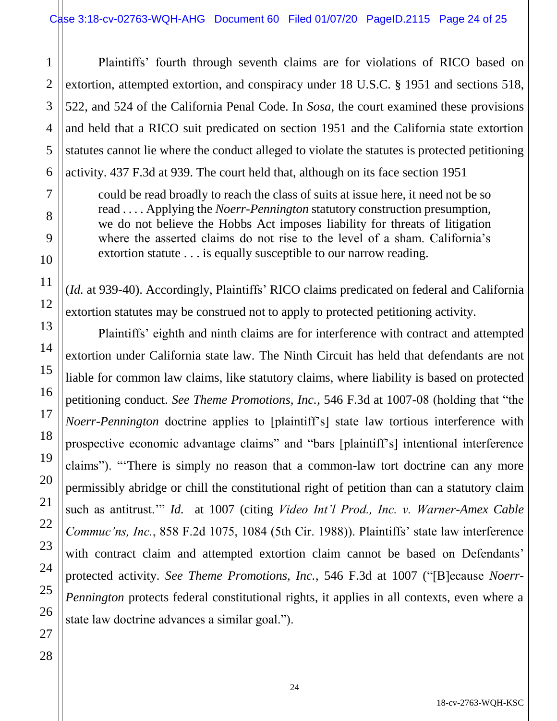Plaintiffs' fourth through seventh claims are for violations of RICO based on extortion, attempted extortion, and conspiracy under 18 U.S.C. § 1951 and sections 518, 522, and 524 of the California Penal Code. In *Sosa*, the court examined these provisions and held that a RICO suit predicated on section 1951 and the California state extortion statutes cannot lie where the conduct alleged to violate the statutes is protected petitioning activity. 437 F.3d at 939. The court held that, although on its face section 1951

could be read broadly to reach the class of suits at issue here, it need not be so read . . . . Applying the *Noerr-Pennington* statutory construction presumption, we do not believe the Hobbs Act imposes liability for threats of litigation where the asserted claims do not rise to the level of a sham. California's extortion statute . . . is equally susceptible to our narrow reading.

(*Id.* at 939-40). Accordingly, Plaintiffs' RICO claims predicated on federal and California extortion statutes may be construed not to apply to protected petitioning activity.

Plaintiffs' eighth and ninth claims are for interference with contract and attempted extortion under California state law. The Ninth Circuit has held that defendants are not liable for common law claims, like statutory claims, where liability is based on protected petitioning conduct. *See Theme Promotions, Inc.*, 546 F.3d at 1007-08 (holding that "the *Noerr-Pennington* doctrine applies to [plaintiff's] state law tortious interference with prospective economic advantage claims" and "bars [plaintiff's] intentional interference claims"). "'There is simply no reason that a common-law tort doctrine can any more permissibly abridge or chill the constitutional right of petition than can a statutory claim such as antitrust.'" *Id.* at 1007 (citing *Video Int'l Prod., Inc. v. Warner-Amex Cable Commuc'ns, Inc.*, 858 F.2d 1075, 1084 (5th Cir. 1988)). Plaintiffs' state law interference with contract claim and attempted extortion claim cannot be based on Defendants' protected activity. *See Theme Promotions, Inc.*, 546 F.3d at 1007 ("[B]ecause *Noerr-Pennington* protects federal constitutional rights, it applies in all contexts, even where a state law doctrine advances a similar goal.").